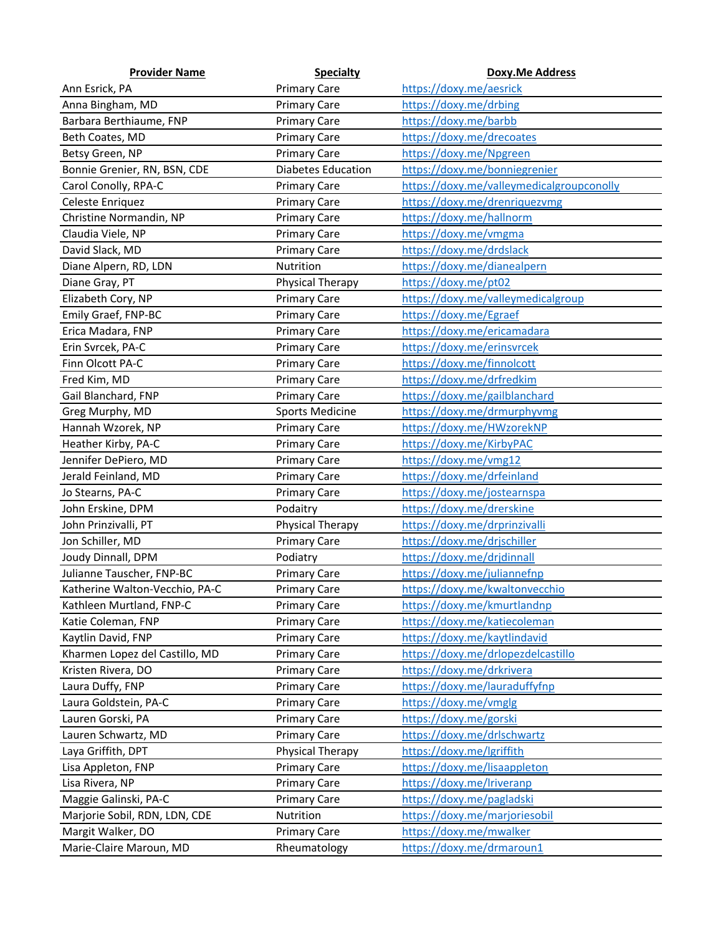| <b>Provider Name</b>           | <b>Specialty</b>       | <b>Doxy.Me Address</b>                    |
|--------------------------------|------------------------|-------------------------------------------|
| Ann Esrick, PA                 | <b>Primary Care</b>    | https://doxy.me/aesrick                   |
| Anna Bingham, MD               | <b>Primary Care</b>    | https://doxy.me/drbing                    |
| Barbara Berthiaume, FNP        | <b>Primary Care</b>    | https://doxy.me/barbb                     |
| Beth Coates, MD                | <b>Primary Care</b>    | https://doxy.me/drecoates                 |
| Betsy Green, NP                | <b>Primary Care</b>    | https://doxy.me/Npgreen                   |
| Bonnie Grenier, RN, BSN, CDE   | Diabetes Education     | https://doxy.me/bonniegrenier             |
| Carol Conolly, RPA-C           | <b>Primary Care</b>    | https://doxy.me/valleymedicalgroupconolly |
| Celeste Enriquez               | <b>Primary Care</b>    | https://doxy.me/drenriquezvmg             |
| Christine Normandin, NP        | <b>Primary Care</b>    | https://doxy.me/hallnorm                  |
| Claudia Viele, NP              | <b>Primary Care</b>    | https://doxy.me/vmgma                     |
| David Slack, MD                | <b>Primary Care</b>    | https://doxy.me/drdslack                  |
| Diane Alpern, RD, LDN          | Nutrition              | https://doxy.me/dianealpern               |
| Diane Gray, PT                 | Physical Therapy       | https://doxy.me/pt02                      |
| Elizabeth Cory, NP             | <b>Primary Care</b>    | https://doxy.me/valleymedicalgroup        |
| Emily Graef, FNP-BC            | <b>Primary Care</b>    | https://doxy.me/Egraef                    |
| Erica Madara, FNP              | <b>Primary Care</b>    | https://doxy.me/ericamadara               |
| Erin Svrcek, PA-C              | <b>Primary Care</b>    | https://doxy.me/erinsvrcek                |
| Finn Olcott PA-C               | <b>Primary Care</b>    | https://doxy.me/finnolcott                |
| Fred Kim, MD                   | <b>Primary Care</b>    | https://doxy.me/drfredkim                 |
| Gail Blanchard, FNP            | <b>Primary Care</b>    | https://doxy.me/gailblanchard             |
| Greg Murphy, MD                | <b>Sports Medicine</b> | https://doxy.me/drmurphyvmg               |
| Hannah Wzorek, NP              | <b>Primary Care</b>    | https://doxy.me/HWzorekNP                 |
| Heather Kirby, PA-C            | <b>Primary Care</b>    | https://doxy.me/KirbyPAC                  |
| Jennifer DePiero, MD           | <b>Primary Care</b>    | https://doxy.me/vmg12                     |
| Jerald Feinland, MD            | <b>Primary Care</b>    | https://doxy.me/drfeinland                |
| Jo Stearns, PA-C               | <b>Primary Care</b>    | https://doxy.me/jostearnspa               |
| John Erskine, DPM              | Podaitry               | https://doxy.me/drerskine                 |
| John Prinzivalli, PT           | Physical Therapy       | https://doxy.me/drprinzivalli             |
| Jon Schiller, MD               | <b>Primary Care</b>    | https://doxy.me/drjschiller               |
| Joudy Dinnall, DPM             | Podiatry               | https://doxy.me/drjdinnall                |
| Julianne Tauscher, FNP-BC      | <b>Primary Care</b>    | https://doxy.me/juliannefnp               |
| Katherine Walton-Vecchio, PA-C | <b>Primary Care</b>    | https://doxy.me/kwaltonvecchio            |
| Kathleen Murtland, FNP-C       | <b>Primary Care</b>    | https://doxy.me/kmurtlandnp               |
| Katie Coleman, FNP             | <b>Primary Care</b>    | https://doxy.me/katiecoleman              |
| Kaytlin David, FNP             | <b>Primary Care</b>    | https://doxy.me/kaytlindavid              |
| Kharmen Lopez del Castillo, MD | <b>Primary Care</b>    | https://doxy.me/drlopezdelcastillo        |
| Kristen Rivera, DO             | <b>Primary Care</b>    | https://doxy.me/drkrivera                 |
| Laura Duffy, FNP               | <b>Primary Care</b>    | https://doxy.me/lauraduffyfnp             |
| Laura Goldstein, PA-C          | <b>Primary Care</b>    | https://doxy.me/vmglg                     |
| Lauren Gorski, PA              | <b>Primary Care</b>    | https://doxy.me/gorski                    |
| Lauren Schwartz, MD            | <b>Primary Care</b>    | https://doxy.me/drlschwartz               |
| Laya Griffith, DPT             | Physical Therapy       | https://doxy.me/lgriffith                 |
| Lisa Appleton, FNP             | <b>Primary Care</b>    | https://doxy.me/lisaappleton              |
| Lisa Rivera, NP                | <b>Primary Care</b>    | https://doxy.me/Iriveranp                 |
| Maggie Galinski, PA-C          | <b>Primary Care</b>    | https://doxy.me/pagladski                 |
| Marjorie Sobil, RDN, LDN, CDE  | Nutrition              | https://doxy.me/marjoriesobil             |
| Margit Walker, DO              | <b>Primary Care</b>    | https://doxy.me/mwalker                   |
| Marie-Claire Maroun, MD        | Rheumatology           | https://doxy.me/drmaroun1                 |